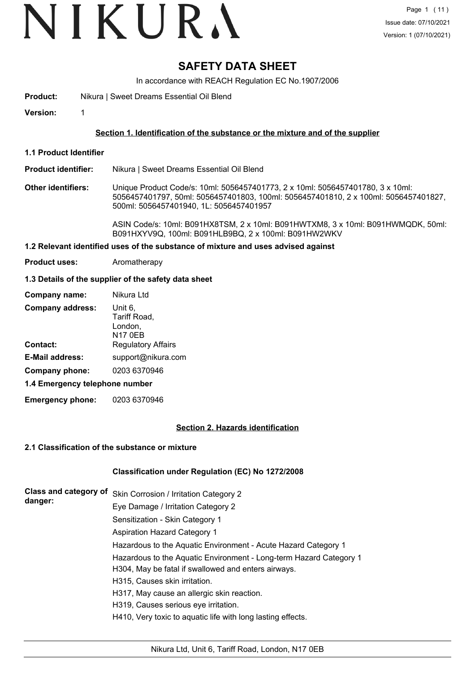# VIKURA

### **SAFETY DATA SHEET**

In accordance with REACH Regulation EC No.1907/2006

**Product:** Nikura | Sweet Dreams Essential Oil Blend

**Version:** 1

#### **Section 1. Identification of the substance or the mixture and of the supplier**

**1.1 Product Identifier**

#### **Product identifier:** Nikura | Sweet Dreams Essential Oil Blend

**Other identifiers:** Unique Product Code/s: 10ml: 5056457401773, 2 x 10ml: 5056457401780, 3 x 10ml: 5056457401797, 50ml: 5056457401803, 100ml: 5056457401810, 2 x 100ml: 5056457401827, 500ml: 5056457401940, 1L: 5056457401957

> ASIN Code/s: 10ml: B091HX8TSM, 2 x 10ml: B091HWTXM8, 3 x 10ml: B091HWMQDK, 50ml: B091HXYV9Q, 100ml: B091HLB9BQ, 2 x 100ml: B091HW2WKV

#### **1.2 Relevant identified uses of the substance of mixture and uses advised against**

**Product uses:** Aromatherapy

#### **1.3 Details of the supplier of the safety data sheet**

| Company name:                  | Nikura Ltd                                           |  |
|--------------------------------|------------------------------------------------------|--|
| <b>Company address:</b>        | Unit 6,<br>Tariff Road,<br>London,<br><b>N17 0EB</b> |  |
| Contact:                       | <b>Regulatory Affairs</b>                            |  |
| <b>E-Mail address:</b>         | support@nikura.com                                   |  |
| Company phone:                 | 0203 6370946                                         |  |
| 1.4 Emergency telephone number |                                                      |  |

**Emergency phone:** 0203 6370946

#### **Section 2. Hazards identification**

#### **2.1 Classification of the substance or mixture**

#### **Classification under Regulation (EC) No 1272/2008**

| Class and category of | Skin Corrosion / Irritation Category 2                             |
|-----------------------|--------------------------------------------------------------------|
| danger:               | Eye Damage / Irritation Category 2                                 |
|                       | Sensitization - Skin Category 1                                    |
|                       | <b>Aspiration Hazard Category 1</b>                                |
|                       | Hazardous to the Aquatic Environment - Acute Hazard Category 1     |
|                       | Hazardous to the Aquatic Environment - Long-term Hazard Category 1 |
|                       | H304, May be fatal if swallowed and enters airways.                |
|                       | H315, Causes skin irritation.                                      |
|                       | H317, May cause an allergic skin reaction.                         |
|                       | H319, Causes serious eye irritation.                               |
|                       | H410, Very toxic to aquatic life with long lasting effects.        |
|                       |                                                                    |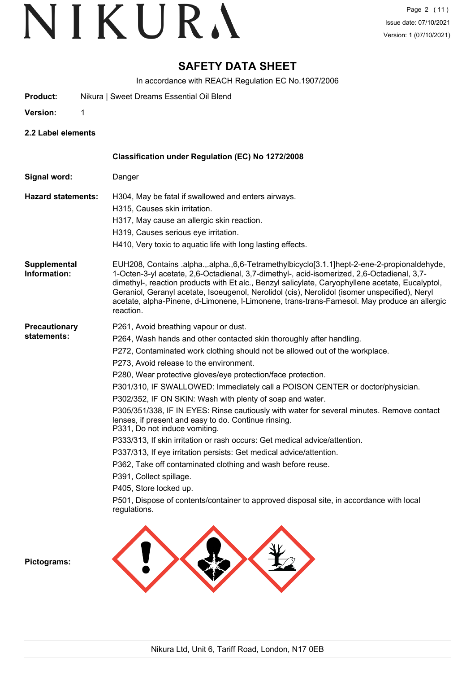### **SAFETY DATA SHEET**

In accordance with REACH Regulation EC No.1907/2006

**Product:** Nikura | Sweet Dreams Essential Oil Blend

**Version:** 1

**2.2 Label elements**

|                                     | Classification under Regulation (EC) No 1272/2008                                                                                                                                                                                                                                                                                                                                                                                                                                                                                                                                                                                                                                                                                                                                                                                                                                                                                                                                                                                |
|-------------------------------------|----------------------------------------------------------------------------------------------------------------------------------------------------------------------------------------------------------------------------------------------------------------------------------------------------------------------------------------------------------------------------------------------------------------------------------------------------------------------------------------------------------------------------------------------------------------------------------------------------------------------------------------------------------------------------------------------------------------------------------------------------------------------------------------------------------------------------------------------------------------------------------------------------------------------------------------------------------------------------------------------------------------------------------|
| Signal word:                        | Danger                                                                                                                                                                                                                                                                                                                                                                                                                                                                                                                                                                                                                                                                                                                                                                                                                                                                                                                                                                                                                           |
| <b>Hazard statements:</b>           | H304, May be fatal if swallowed and enters airways.<br>H315, Causes skin irritation.<br>H317, May cause an allergic skin reaction.<br>H319, Causes serious eye irritation.<br>H410, Very toxic to aquatic life with long lasting effects.                                                                                                                                                                                                                                                                                                                                                                                                                                                                                                                                                                                                                                                                                                                                                                                        |
| <b>Supplemental</b><br>Information: | EUH208, Contains .alpha.,.alpha.,6,6-Tetramethylbicyclo[3.1.1]hept-2-ene-2-propionaldehyde,<br>1-Octen-3-yl acetate, 2,6-Octadienal, 3,7-dimethyl-, acid-isomerized, 2,6-Octadienal, 3,7-<br>dimethyl-, reaction products with Et alc., Benzyl salicylate, Caryophyllene acetate, Eucalyptol,<br>Geraniol, Geranyl acetate, Isoeugenol, Nerolidol (cis), Nerolidol (isomer unspecified), Neryl<br>acetate, alpha-Pinene, d-Limonene, I-Limonene, trans-trans-Farnesol. May produce an allergic<br>reaction.                                                                                                                                                                                                                                                                                                                                                                                                                                                                                                                      |
| <b>Precautionary</b><br>statements: | P261, Avoid breathing vapour or dust.<br>P264, Wash hands and other contacted skin thoroughly after handling.<br>P272, Contaminated work clothing should not be allowed out of the workplace.<br>P273, Avoid release to the environment.<br>P280, Wear protective gloves/eye protection/face protection.<br>P301/310, IF SWALLOWED: Immediately call a POISON CENTER or doctor/physician.<br>P302/352, IF ON SKIN: Wash with plenty of soap and water.<br>P305/351/338, IF IN EYES: Rinse cautiously with water for several minutes. Remove contact<br>lenses, if present and easy to do. Continue rinsing.<br>P331, Do not induce vomiting.<br>P333/313, If skin irritation or rash occurs: Get medical advice/attention.<br>P337/313, If eye irritation persists: Get medical advice/attention.<br>P362, Take off contaminated clothing and wash before reuse.<br>P391, Collect spillage.<br>P405, Store locked up.<br>P501, Dispose of contents/container to approved disposal site, in accordance with local<br>regulations. |
| Pictograms:                         |                                                                                                                                                                                                                                                                                                                                                                                                                                                                                                                                                                                                                                                                                                                                                                                                                                                                                                                                                                                                                                  |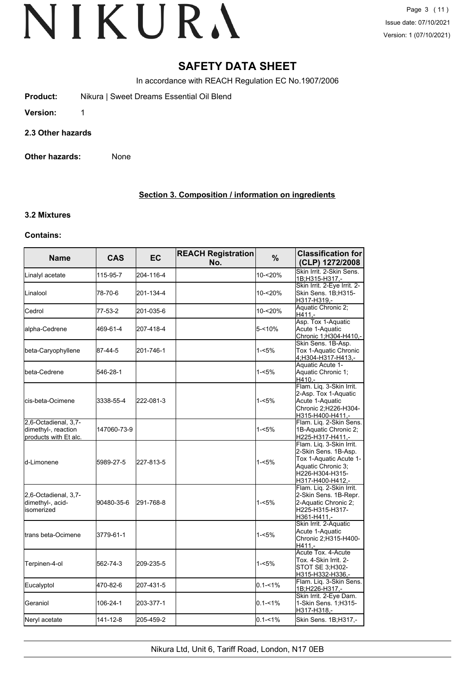### **SAFETY DATA SHEET**

In accordance with REACH Regulation EC No.1907/2006

- **Product:** Nikura | Sweet Dreams Essential Oil Blend
- **Version:** 1
- **2.3 Other hazards**
- **Other hazards:** None

#### **Section 3. Composition / information on ingredients**

#### **3.2 Mixtures**

#### **Contains:**

| <b>Name</b>                                                          | <b>CAS</b>  | <b>EC</b> | <b>REACH Registration</b><br>No. | $\frac{9}{6}$ | <b>Classification for</b><br>(CLP) 1272/2008                                                                                            |
|----------------------------------------------------------------------|-------------|-----------|----------------------------------|---------------|-----------------------------------------------------------------------------------------------------------------------------------------|
| Linalyl acetate                                                      | 115-95-7    | 204-116-4 |                                  | 10-<20%       | Skin Irrit. 2-Skin Sens.<br>1B;H315-H317 -                                                                                              |
| <b>I</b> Linalool                                                    | 78-70-6     | 201-134-4 |                                  | 10-<20%       | Skin Irrit. 2-Eye Irrit. 2-<br>Skin Sens. 1B;H315-<br>H317-H319,-                                                                       |
| Cedrol                                                               | 77-53-2     | 201-035-6 |                                  | 10-<20%       | Aquatic Chronic 2;<br>$H411. -$                                                                                                         |
| alpha-Cedrene                                                        | 469-61-4    | 207-418-4 |                                  | 5-<10%        | Asp. Tox 1-Aquatic<br>Acute 1-Aquatic<br>Chronic 1; H304-H410,-                                                                         |
| beta-Caryophyllene                                                   | 87-44-5     | 201-746-1 |                                  | 1-<5%         | Skin Sens. 1B-Asp.<br>Tox 1-Aquatic Chronic<br>4, H304-H317-H413,-                                                                      |
| <b>I</b> beta-Cedrene                                                | 546-28-1    |           |                                  | 1-<5%         | Aquatic Acute 1-<br>Aquatic Chronic 1;<br>H410.-                                                                                        |
| lcis-beta-Ocimene                                                    | 3338-55-4   | 222-081-3 |                                  | $1 - 5%$      | Flam. Liq. 3-Skin Irrit.<br>2-Asp. Tox 1-Aquatic<br>Acute 1-Aquatic<br>Chronic 2;H226-H304-<br>H315-H400-H411,-                         |
| 2,6-Octadienal, 3,7-<br>dimethyl-, reaction<br>products with Et alc. | 147060-73-9 |           |                                  | $1 - 5%$      | Flam. Liq. 2-Skin Sens.<br>1B-Aquatic Chronic 2;<br>H225-H317-H411,-                                                                    |
| ld-Limonene                                                          | 5989-27-5   | 227-813-5 |                                  | $1 - 5%$      | Flam. Liq. 3-Skin Irrit.<br>2-Skin Sens. 1B-Asp.<br>Tox 1-Aquatic Acute 1-<br>Aquatic Chronic 3:<br>H226-H304-H315-<br>H317-H400-H412,- |
| 2,6-Octadienal, 3,7-<br>dimethyl-, acid-<br>lisomerized              | 90480-35-6  | 291-768-8 |                                  | $1 - 5%$      | Flam. Lig. 2-Skin Irrit.<br>2-Skin Sens. 1B-Repr.<br>2-Aquatic Chronic 2;<br>H225-H315-H317-<br>H361-H411,-                             |
| trans beta-Ocimene                                                   | 3779-61-1   |           |                                  | 1-<5%         | Skin Irrit. 2-Aquatic<br>Acute 1-Aquatic<br>Chronic 2;H315-H400-<br>H411.-                                                              |
| Terpinen-4-ol                                                        | 562-74-3    | 209-235-5 |                                  | $1 - 5%$      | Acute Tox. 4-Acute<br>Tox. 4-Skin Irrit. 2-<br>STOT SE 3:H302-<br>H315-H332-H336,-                                                      |
| Eucalyptol                                                           | 470-82-6    | 207-431-5 |                                  | $0.1 - 1\%$   | Flam. Liq. 3-Skin Sens.<br>1B;H226-H317,-                                                                                               |
| Geraniol                                                             | 106-24-1    | 203-377-1 |                                  | $0.1 - 1%$    | Skin Irrit. 2-Eye Dam.<br>1-Skin Sens. 1;H315-<br>H317-H318,-                                                                           |
| Neryl acetate                                                        | 141-12-8    | 205-459-2 |                                  | $0.1 - 1\%$   | Skin Sens. 1B;H317,-                                                                                                                    |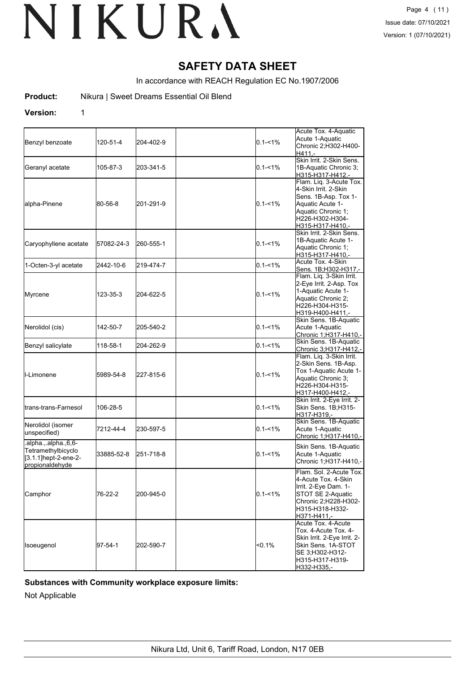### **SAFETY DATA SHEET**

In accordance with REACH Regulation EC No.1907/2006

**Product:** Nikura | Sweet Dreams Essential Oil Blend

#### **Version:** 1

| Benzyl benzoate                                                                         | 120-51-4   | 204-402-9 | $0.1 - 1\%$ | Acute Tox. 4-Aquatic<br>Acute 1-Aquatic<br>Chronic 2; H302-H400-<br>H411.-                                                                               |
|-----------------------------------------------------------------------------------------|------------|-----------|-------------|----------------------------------------------------------------------------------------------------------------------------------------------------------|
| Geranyl acetate                                                                         | 105-87-3   | 203-341-5 | $0.1 - 1\%$ | Skin Irrit. 2-Skin Sens.<br>1B-Aquatic Chronic 3;<br>H315-H317-H412.-                                                                                    |
| alpha-Pinene                                                                            | 80-56-8    | 201-291-9 | $0.1 - 1\%$ | Flam. Liq. 3-Acute Tox.<br>4-Skin Irrit. 2-Skin<br>Sens. 1B-Asp. Tox 1-<br>Aquatic Acute 1-<br>Aquatic Chronic 1;<br>H226-H302-H304-<br>H315-H317-H410.- |
| Caryophyllene acetate                                                                   | 57082-24-3 | 260-555-1 | $0.1 - 1\%$ | Skin Irrit, 2-Skin Sens.<br>1B-Aquatic Acute 1-<br>Aquatic Chronic 1;<br>H315-H317-H410,-                                                                |
| 1-Octen-3-yl acetate                                                                    | 2442-10-6  | 219-474-7 | $0.1 - 1\%$ | Acute Tox. 4-Skin<br>Sens. 1B;H302-H317,-                                                                                                                |
| Myrcene                                                                                 | 123-35-3   | 204-622-5 | $0.1 - 1\%$ | Flam. Liq. 3-Skin Irrit.<br>2-Eye Irrit. 2-Asp. Tox<br>1-Aquatic Acute 1-<br>Aquatic Chronic 2;<br>H226-H304-H315-<br>H319-H400-H411.-                   |
| Nerolidol (cis)                                                                         | 142-50-7   | 205-540-2 | $0.1 - 1\%$ | Skin Sens. 1B-Aquatic<br>Acute 1-Aquatic<br>Chronic 1;H317-H410,-                                                                                        |
| Benzyl salicylate                                                                       | 118-58-1   | 204-262-9 | $0.1 - 1\%$ | Skin Sens. 1B-Aquatic<br>Chronic 3;H317-H412,-                                                                                                           |
| <b>I</b> I-Limonene                                                                     | 5989-54-8  | 227-815-6 | $0.1 - 1\%$ | Flam. Liq. 3-Skin Irrit.<br>2-Skin Sens. 1B-Asp.<br>Tox 1-Aquatic Acute 1-<br>Aquatic Chronic 3;<br>H226-H304-H315-<br>H317-H400-H412,-                  |
| ltrans-trans-Farnesol                                                                   | 106-28-5   |           | $0.1 - 1\%$ | Skin Irrit. 2-Eye Irrit. 2-<br>Skin Sens. 1B;H315-<br>H317-H319.-                                                                                        |
| Nerolidol (isomer<br>unspecified)                                                       | 7212-44-4  | 230-597-5 | 0.1-<1%     | Skin Sens. 1B-Aquatic<br>Acute 1-Aquatic<br>Chronic 1; H317-H410,-                                                                                       |
| .alpha., alpha., 6, 6-<br>Tetramethylbicyclo<br>[3.1.1]hept-2-ene-2-<br>propionaldehyde | 33885-52-8 | 251-718-8 | $0.1 - 1\%$ | Skin Sens. 1B-Aquatic<br>Acute 1-Aquatic<br>Chronic 1;H317-H410,-                                                                                        |
| Camphor                                                                                 | 76-22-2    | 200-945-0 | $0.1 - 1\%$ | Flam. Sol. 2-Acute Tox.<br>4-Acute Tox, 4-Skin<br>Irrit. 2-Eye Dam. 1-<br>STOT SE 2-Aquatic<br>Chronic 2;H228-H302-<br>H315-H318-H332-<br>H371-H411,-    |
| Isoeugenol                                                                              | 97-54-1    | 202-590-7 | <0.1%       | Acute Tox. 4-Acute<br>Tox. 4-Acute Tox. 4-<br>Skin Irrit. 2-Eye Irrit. 2-<br>Skin Sens. 1A-STOT<br>SE 3;H302-H312-<br>H315-H317-H319-<br>H332-H335,-     |

#### **Substances with Community workplace exposure limits:**

Not Applicable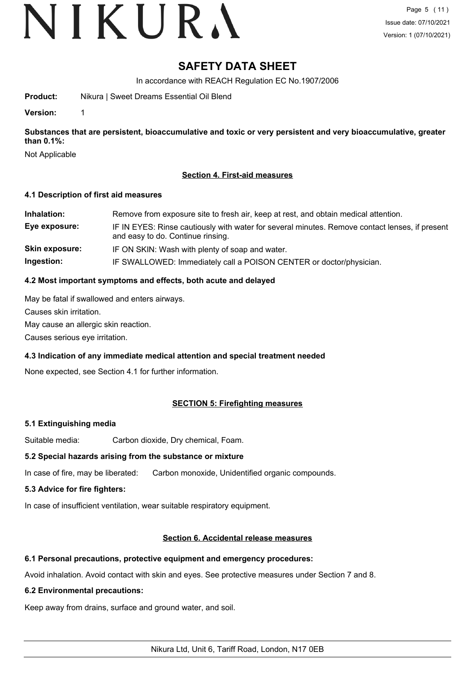## VIKURA

### **SAFETY DATA SHEET**

In accordance with REACH Regulation EC No.1907/2006

**Product:** Nikura | Sweet Dreams Essential Oil Blend

**Version:** 1

**Substances that are persistent, bioaccumulative and toxic or very persistent and very bioaccumulative, greater than 0.1%:**

Not Applicable

#### **Section 4. First-aid measures**

#### **4.1 Description of first aid measures**

| Inhalation:           | Remove from exposure site to fresh air, keep at rest, and obtain medical attention.                                                 |
|-----------------------|-------------------------------------------------------------------------------------------------------------------------------------|
| Eye exposure:         | IF IN EYES: Rinse cautiously with water for several minutes. Remove contact lenses, if present<br>and easy to do. Continue rinsing. |
| <b>Skin exposure:</b> | IF ON SKIN: Wash with plenty of soap and water.                                                                                     |
| Ingestion:            | IF SWALLOWED: Immediately call a POISON CENTER or doctor/physician.                                                                 |

#### **4.2 Most important symptoms and effects, both acute and delayed**

May be fatal if swallowed and enters airways.

Causes skin irritation.

May cause an allergic skin reaction.

Causes serious eye irritation.

### **4.3 Indication of any immediate medical attention and special treatment needed**

None expected, see Section 4.1 for further information.

#### **SECTION 5: Firefighting measures**

#### **5.1 Extinguishing media**

Suitable media: Carbon dioxide, Dry chemical, Foam.

#### **5.2 Special hazards arising from the substance or mixture**

In case of fire, may be liberated: Carbon monoxide, Unidentified organic compounds.

#### **5.3 Advice for fire fighters:**

In case of insufficient ventilation, wear suitable respiratory equipment.

#### **Section 6. Accidental release measures**

#### **6.1 Personal precautions, protective equipment and emergency procedures:**

Avoid inhalation. Avoid contact with skin and eyes. See protective measures under Section 7 and 8.

#### **6.2 Environmental precautions:**

Keep away from drains, surface and ground water, and soil.

Nikura Ltd, Unit 6, Tariff Road, London, N17 0EB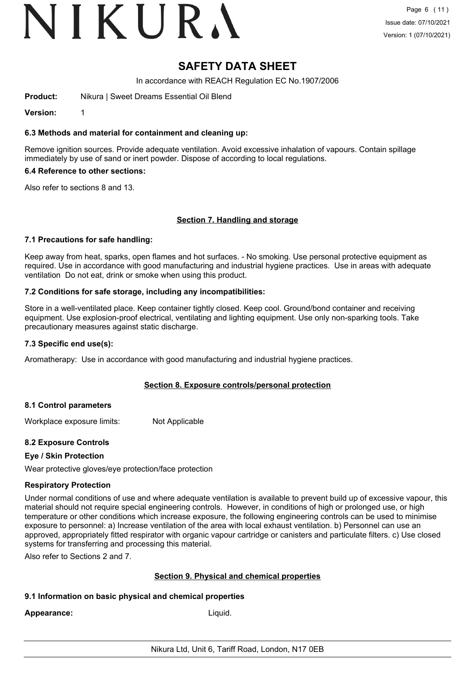## VIKURA

### **SAFETY DATA SHEET**

In accordance with REACH Regulation EC No.1907/2006

**Product:** Nikura | Sweet Dreams Essential Oil Blend

**Version:** 1

#### **6.3 Methods and material for containment and cleaning up:**

Remove ignition sources. Provide adequate ventilation. Avoid excessive inhalation of vapours. Contain spillage immediately by use of sand or inert powder. Dispose of according to local regulations.

#### **6.4 Reference to other sections:**

Also refer to sections 8 and 13.

#### **Section 7. Handling and storage**

#### **7.1 Precautions for safe handling:**

Keep away from heat, sparks, open flames and hot surfaces. - No smoking. Use personal protective equipment as required. Use in accordance with good manufacturing and industrial hygiene practices. Use in areas with adequate ventilation Do not eat, drink or smoke when using this product.

#### **7.2 Conditions for safe storage, including any incompatibilities:**

Store in a well-ventilated place. Keep container tightly closed. Keep cool. Ground/bond container and receiving equipment. Use explosion-proof electrical, ventilating and lighting equipment. Use only non-sparking tools. Take precautionary measures against static discharge.

#### **7.3 Specific end use(s):**

Aromatherapy: Use in accordance with good manufacturing and industrial hygiene practices.

#### **Section 8. Exposure controls/personal protection**

#### **8.1 Control parameters**

Workplace exposure limits: Not Applicable

#### **8.2 Exposure Controls**

#### **Eye / Skin Protection**

Wear protective gloves/eye protection/face protection

#### **Respiratory Protection**

Under normal conditions of use and where adequate ventilation is available to prevent build up of excessive vapour, this material should not require special engineering controls. However, in conditions of high or prolonged use, or high temperature or other conditions which increase exposure, the following engineering controls can be used to minimise exposure to personnel: a) Increase ventilation of the area with local exhaust ventilation. b) Personnel can use an approved, appropriately fitted respirator with organic vapour cartridge or canisters and particulate filters. c) Use closed systems for transferring and processing this material.

Also refer to Sections 2 and 7.

#### **Section 9. Physical and chemical properties**

#### **9.1 Information on basic physical and chemical properties**

**Appearance:** Liquid.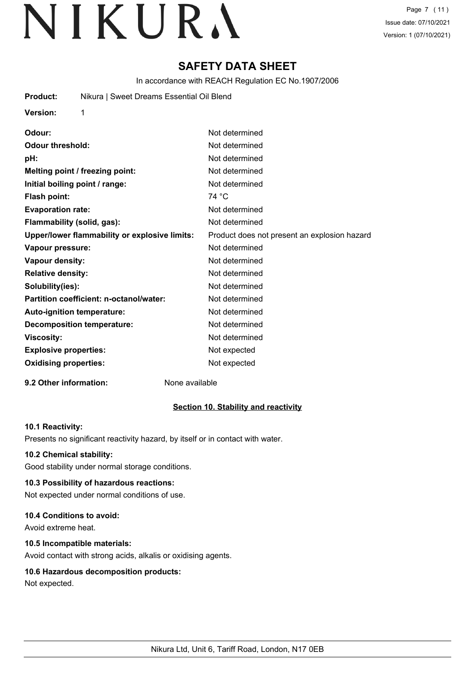Page 7 (11) Issue date: 07/10/2021 Version: 1 (07/10/2021)

### **SAFETY DATA SHEET**

In accordance with REACH Regulation EC No.1907/2006

| <b>Product:</b> | Nikura   Sweet Dreams Essential Oil Blend |
|-----------------|-------------------------------------------|
| <b>Version:</b> |                                           |
| $\bigcap$       | Not dotorminad                            |

| vuvur.                                        | <u>INUL UCICI IIIIIIICU</u>                  |
|-----------------------------------------------|----------------------------------------------|
| <b>Odour threshold:</b>                       | Not determined                               |
| pH:                                           | Not determined                               |
| Melting point / freezing point:               | Not determined                               |
| Initial boiling point / range:                | Not determined                               |
| Flash point:                                  | 74 °C                                        |
| <b>Evaporation rate:</b>                      | Not determined                               |
| Flammability (solid, gas):                    | Not determined                               |
| Upper/lower flammability or explosive limits: | Product does not present an explosion hazard |
| Vapour pressure:                              | Not determined                               |
| Vapour density:                               | Not determined                               |
| <b>Relative density:</b>                      | Not determined                               |
| Solubility(ies):                              | Not determined                               |
| Partition coefficient: n-octanol/water:       | Not determined                               |
| Auto-ignition temperature:                    | Not determined                               |
| <b>Decomposition temperature:</b>             | Not determined                               |
| <b>Viscosity:</b>                             | Not determined                               |
| <b>Explosive properties:</b>                  | Not expected                                 |
| <b>Oxidising properties:</b>                  | Not expected                                 |
|                                               |                                              |

#### **9.2 Other information:** None available

#### **Section 10. Stability and reactivity**

#### **10.1 Reactivity:**

Presents no significant reactivity hazard, by itself or in contact with water.

#### **10.2 Chemical stability:**

Good stability under normal storage conditions.

#### **10.3 Possibility of hazardous reactions:**

Not expected under normal conditions of use.

#### **10.4 Conditions to avoid:**

Avoid extreme heat.

#### **10.5 Incompatible materials:**

Avoid contact with strong acids, alkalis or oxidising agents.

#### **10.6 Hazardous decomposition products:**

Not expected.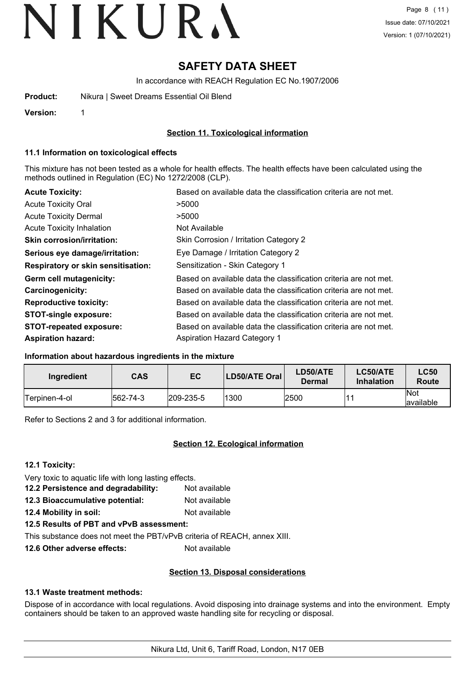### **SAFETY DATA SHEET**

In accordance with REACH Regulation EC No.1907/2006

| <b>Product:</b> | Nikura   Sweet Dreams Essential Oil Blend |  |
|-----------------|-------------------------------------------|--|
|                 |                                           |  |

**Version:** 1

#### **Section 11. Toxicological information**

#### **11.1 Information on toxicological effects**

This mixture has not been tested as a whole for health effects. The health effects have been calculated using the methods outlined in Regulation (EC) No 1272/2008 (CLP).

| <b>Acute Toxicity:</b>                    | Based on available data the classification criteria are not met. |
|-------------------------------------------|------------------------------------------------------------------|
| <b>Acute Toxicity Oral</b>                | >5000                                                            |
| <b>Acute Toxicity Dermal</b>              | >5000                                                            |
| Acute Toxicity Inhalation                 | Not Available                                                    |
| <b>Skin corrosion/irritation:</b>         | Skin Corrosion / Irritation Category 2                           |
| Serious eye damage/irritation:            | Eye Damage / Irritation Category 2                               |
| <b>Respiratory or skin sensitisation:</b> | Sensitization - Skin Category 1                                  |
| Germ cell mutagenicity:                   | Based on available data the classification criteria are not met. |
| <b>Carcinogenicity:</b>                   | Based on available data the classification criteria are not met. |
| <b>Reproductive toxicity:</b>             | Based on available data the classification criteria are not met. |
| <b>STOT-single exposure:</b>              | Based on available data the classification criteria are not met. |
| <b>STOT-repeated exposure:</b>            | Based on available data the classification criteria are not met. |
| <b>Aspiration hazard:</b>                 | <b>Aspiration Hazard Category 1</b>                              |

#### **Information about hazardous ingredients in the mixture**

| Ingredient     | <b>CAS</b> | EC                | <b>LD50/ATE Oral</b> | LD50/ATE<br>Dermal | LC50/ATE<br><b>Inhalation</b> | <b>LC50</b><br>Route |
|----------------|------------|-------------------|----------------------|--------------------|-------------------------------|----------------------|
| 'Terpinen-4-ol | 562-74-3   | $ 209 - 235 - 5 $ | 1300                 | 2500               |                               | lNot<br>lavailable   |

Refer to Sections 2 and 3 for additional information.

#### **Section 12. Ecological information**

**12.1 Toxicity:**

Very toxic to aquatic life with long lasting effects.

12.2 Persistence and degradability: Not available **12.3 Bioaccumulative potential:** Not available

**12.4 Mobility in soil:** Not available

**12.5 Results of PBT and vPvB assessment:**

This substance does not meet the PBT/vPvB criteria of REACH, annex XIII.

**12.6 Other adverse effects:** Not available

#### **Section 13. Disposal considerations**

#### **13.1 Waste treatment methods:**

Dispose of in accordance with local regulations. Avoid disposing into drainage systems and into the environment. Empty containers should be taken to an approved waste handling site for recycling or disposal.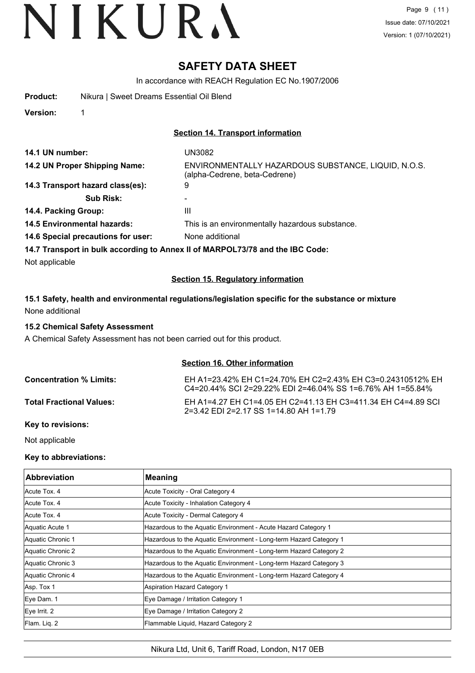### **SAFETY DATA SHEET**

In accordance with REACH Regulation EC No.1907/2006

|  | Product: |  | Nikura   Sweet Dreams Essential Oil Blend |  |  |
|--|----------|--|-------------------------------------------|--|--|
|--|----------|--|-------------------------------------------|--|--|

**Version:** 1

#### **Section 14. Transport information**

| 14.1 UN number:                                                               | UN3082                                                                               |  |
|-------------------------------------------------------------------------------|--------------------------------------------------------------------------------------|--|
| 14.2 UN Proper Shipping Name:                                                 | ENVIRONMENTALLY HAZARDOUS SUBSTANCE, LIQUID, N.O.S.<br>(alpha-Cedrene, beta-Cedrene) |  |
| 14.3 Transport hazard class(es):                                              | 9                                                                                    |  |
| <b>Sub Risk:</b>                                                              |                                                                                      |  |
| 14.4. Packing Group:                                                          | Ш                                                                                    |  |
| 14.5 Environmental hazards:                                                   | This is an environmentally hazardous substance.                                      |  |
| 14.6 Special precautions for user:                                            | None additional                                                                      |  |
| 14.7 Transport in bulk according to Annex II of MARPOL73/78 and the IBC Code: |                                                                                      |  |
| Not applicable                                                                |                                                                                      |  |

#### **Section 15. Regulatory information**

#### **15.1 Safety, health and environmental regulations/legislation specific for the substance or mixture** None additional

#### **15.2 Chemical Safety Assessment**

A Chemical Safety Assessment has not been carried out for this product.

#### **Section 16. Other information**

| <b>Concentration % Limits:</b>  | EH A1=23.42% EH C1=24.70% EH C2=2.43% EH C3=0.24310512% EH<br>C4=20.44% SCI 2=29.22% EDI 2=46.04% SS 1=6.76% AH 1=55.84% |
|---------------------------------|--------------------------------------------------------------------------------------------------------------------------|
| <b>Total Fractional Values:</b> | EH A1=4.27 EH C1=4.05 EH C2=41.13 EH C3=411.34 EH C4=4.89 SCI<br>$2=3.42$ EDI 2=2.17 SS 1=14.80 AH 1=1.79                |

#### **Key to revisions:**

Not applicable

#### **Key to abbreviations:**

| <b>Abbreviation</b> | <b>Meaning</b>                                                     |
|---------------------|--------------------------------------------------------------------|
| Acute Tox, 4        | Acute Toxicity - Oral Category 4                                   |
| Acute Tox, 4        | Acute Toxicity - Inhalation Category 4                             |
| Acute Tox. 4        | Acute Toxicity - Dermal Category 4                                 |
| Aquatic Acute 1     | Hazardous to the Aquatic Environment - Acute Hazard Category 1     |
| Aquatic Chronic 1   | Hazardous to the Aquatic Environment - Long-term Hazard Category 1 |
| Aquatic Chronic 2   | Hazardous to the Aquatic Environment - Long-term Hazard Category 2 |
| Aquatic Chronic 3   | Hazardous to the Aquatic Environment - Long-term Hazard Category 3 |
| Aquatic Chronic 4   | Hazardous to the Aquatic Environment - Long-term Hazard Category 4 |
| Asp. Tox 1          | <b>Aspiration Hazard Category 1</b>                                |
| Eye Dam. 1          | Eye Damage / Irritation Category 1                                 |
| Eye Irrit. 2        | Eye Damage / Irritation Category 2                                 |
| Flam. Liq. 2        | Flammable Liquid, Hazard Category 2                                |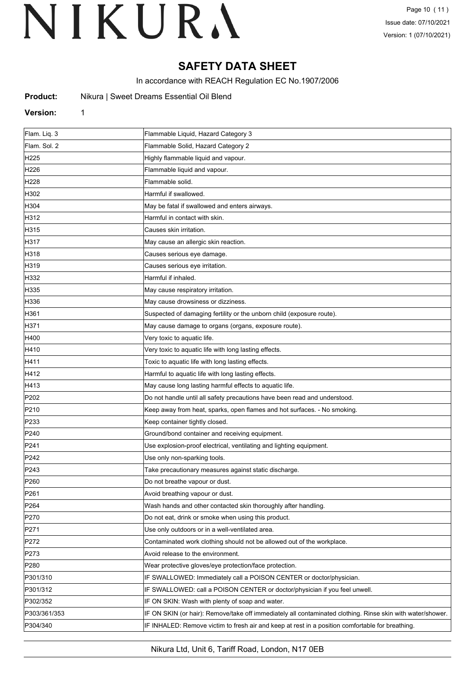### **SAFETY DATA SHEET**

In accordance with REACH Regulation EC No.1907/2006

| Product: | Nikura   Sweet Dreams Essential Oil Blend |  |  |
|----------|-------------------------------------------|--|--|
|----------|-------------------------------------------|--|--|

#### **Version:** 1

| Flam. Liq. 3     | Flammable Liquid, Hazard Category 3                                                                        |
|------------------|------------------------------------------------------------------------------------------------------------|
| Flam. Sol. 2     | Flammable Solid, Hazard Category 2                                                                         |
| H225             | Highly flammable liquid and vapour.                                                                        |
| H226             | Flammable liquid and vapour.                                                                               |
| H228             | Flammable solid.                                                                                           |
| H302             | Harmful if swallowed.                                                                                      |
| H304             | May be fatal if swallowed and enters airways.                                                              |
| H312             | Harmful in contact with skin.                                                                              |
| H315             | Causes skin irritation.                                                                                    |
| H317             | May cause an allergic skin reaction.                                                                       |
| H318             | Causes serious eye damage.                                                                                 |
| H319             | Causes serious eye irritation.                                                                             |
| H332             | Harmful if inhaled.                                                                                        |
| H335             | May cause respiratory irritation.                                                                          |
| H336             | May cause drowsiness or dizziness.                                                                         |
| H361             | Suspected of damaging fertility or the unborn child (exposure route).                                      |
| H371             | May cause damage to organs (organs, exposure route).                                                       |
| H400             | Very toxic to aquatic life.                                                                                |
| H410             | Very toxic to aquatic life with long lasting effects.                                                      |
| H411             | Toxic to aquatic life with long lasting effects.                                                           |
| H412             | Harmful to aquatic life with long lasting effects.                                                         |
| H413             | May cause long lasting harmful effects to aquatic life.                                                    |
| P202             | Do not handle until all safety precautions have been read and understood.                                  |
| P210             | Keep away from heat, sparks, open flames and hot surfaces. - No smoking.                                   |
| P233             | Keep container tightly closed.                                                                             |
| P240             | Ground/bond container and receiving equipment.                                                             |
| P241             | Use explosion-proof electrical, ventilating and lighting equipment.                                        |
| P242             | Use only non-sparking tools.                                                                               |
| P243             | Take precautionary measures against static discharge.                                                      |
| P <sub>260</sub> | Do not breathe vapour or dust.                                                                             |
| P261             | Avoid breathing vapour or dust.                                                                            |
| P <sub>264</sub> | Wash hands and other contacted skin thoroughly after handling.                                             |
| P270             | Do not eat, drink or smoke when using this product.                                                        |
| P271             | Use only outdoors or in a well-ventilated area.                                                            |
| P272             | Contaminated work clothing should not be allowed out of the workplace.                                     |
| P273             | Avoid release to the environment.                                                                          |
| P280             | Wear protective gloves/eye protection/face protection.                                                     |
| P301/310         | IF SWALLOWED: Immediately call a POISON CENTER or doctor/physician.                                        |
| P301/312         | IF SWALLOWED: call a POISON CENTER or doctor/physician if you feel unwell.                                 |
| P302/352         | IF ON SKIN: Wash with plenty of soap and water.                                                            |
| P303/361/353     | IF ON SKIN (or hair): Remove/take off immediately all contaminated clothing. Rinse skin with water/shower. |
| P304/340         | IF INHALED: Remove victim to fresh air and keep at rest in a position comfortable for breathing.           |
|                  |                                                                                                            |

Nikura Ltd, Unit 6, Tariff Road, London, N17 0EB